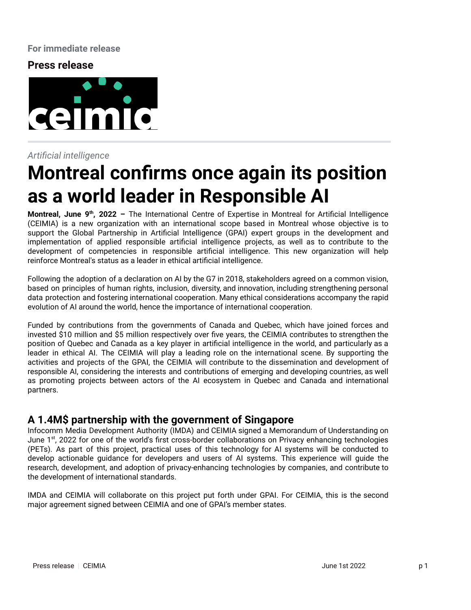#### **For immediate release**

## **Press release**



#### *Artificial intelligence*

# **Montreal confirms once again its position as a world leader in Responsible AI**

**Montreal, June 9<sup>th</sup>, 2022** – The International Centre of Expertise in Montreal for Artificial Intelligence (CEIMIA) is a new organization with an international scope based in Montreal whose objective is to support the Global Partnership in Artificial Intelligence (GPAI) expert groups in the development and implementation of applied responsible artificial intelligence projects, as well as to contribute to the development of competencies in responsible artificial intelligence. This new organization will help reinforce Montreal's status as a leader in ethical artificial intelligence.

Following the adoption of a declaration on AI by the G7 in 2018, stakeholders agreed on a common vision, based on principles of human rights, inclusion, diversity, and innovation, including strengthening personal data protection and fostering international cooperation. Many ethical considerations accompany the rapid evolution of AI around the world, hence the importance of international cooperation.

Funded by contributions from the governments of Canada and Quebec, which have joined forces and invested \$10 million and \$5 million respectively over five years, the CEIMIA contributes to strengthen the position of Quebec and Canada as a key player in artificial intelligence in the world, and particularly as a leader in ethical AI. The CEIMIA will play a leading role on the international scene. By supporting the activities and projects of the GPAI, the CEIMIA will contribute to the dissemination and development of responsible AI, considering the interests and contributions of emerging and developing countries, as well as promoting projects between actors of the AI ecosystem in Quebec and Canada and international partners.

## **A 1.4M\$ partnership with the government of Singapore**

Infocomm Media Development Authority (IMDA) and CEIMIA signed a Memorandum of Understanding on June 1<sup>st</sup>, 2022 for one of the world's first cross-border collaborations on Privacy enhancing technologies (PETs). As part of this project, practical uses of this technology for AI systems will be conducted to develop actionable guidance for developers and users of AI systems. This experience will guide the research, development, and adoption of privacy-enhancing technologies by companies, and contribute to the development of international standards.

IMDA and CEIMIA will collaborate on this project put forth under GPAI. For CEIMIA, this is the second major agreement signed between CEIMIA and one of GPAI's member states.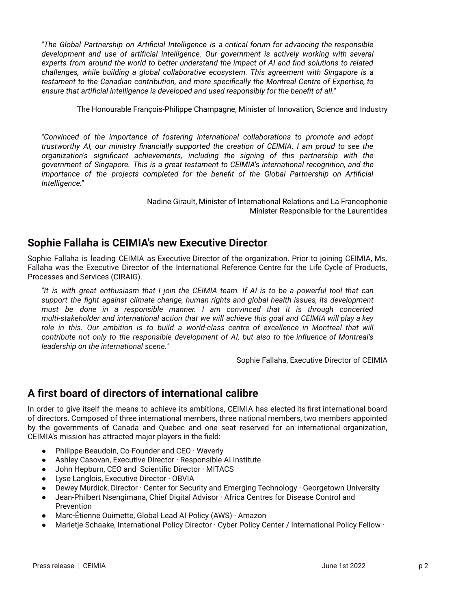*"The Global Partnership on Artificial Intelligence is a critical forum for advancing the responsible development and use of artificial intelligence. Our government is actively working with several experts from around the world to better understand the impact of AI and find solutions to related challenges, while building a global collaborative ecosystem. This agreement with Singapore is a testament to the Canadian contribution, and more specifically the Montreal Centre of Expertise, to ensure that artificial intelligence is developed and used responsibly for the benefit of all."*

The Honourable François-Philippe Champagne, Minister of Innovation, Science and Industry

*"Convinced of the importance of fostering international collaborations to promote and adopt trustworthy AI, our ministry financially supported the creation of CEIMIA. I am proud to see the organization's significant achievements, including the signing of this partnership with the government of Singapore. This is a great testament to CEIMIA's international recognition, and the importance of the projects completed for the benefit of the Global Partnership on Artificial Intelligence."*

> Nadine Girault, Minister of International Relations and La Francophonie Minister Responsible for the Laurentides

# **Sophie Fallaha is CEIMIA's new Executive Director**

Sophie Fallaha is leading CEIMIA as Executive Director of the organization. Prior to joining CEIMIA, Ms. Fallaha was the Executive Director of the International Reference Centre for the Life Cycle of Products, Processes and Services (CIRAIG).

It is with great enthusiasm that I join the CEIMIA team. If AI is to be a powerful tool that can *support the fight against climate change, human rights and global health issues, its development must be done in a responsible manner. I am convinced that it is through concerted multi-stakeholder and international action that we will achieve this goal and CEIMIA will play a key role in this. Our ambition is to build a world-class centre of excellence in Montreal that will contribute not only to the responsible development of AI, but also to the influence of Montreal's leadership on the international scene."*

Sophie Fallaha, Executive Director of CEIMIA

# **A first board of directors of international calibre**

In order to give itself the means to achieve its ambitions, CEIMIA has elected its first international board of directors. Composed of three international members, three national members, two members appointed by the governments of Canada and Quebec and one seat reserved for an international organization, CEIMIA's mission has attracted major players in the field:

- Philippe Beaudoin, Co-Founder and  $CEO \cdot Wavery$
- Ashley Casovan, Executive Director · Responsible AI Institute
- John Hepburn, CEO and Scientific Director · MITACS
- Lyse Langlois, Executive Director · OBVIA
- Dewey Murdick, Director · Center for Security and Emerging Technology · Georgetown University
- Jean-Philbert Nsengimana, Chief Digital Advisor · Africa Centres for Disease Control and Prevention
- Marc-Étienne Ouimette, Global Lead AI Policy (AWS) · Amazon
- Marietje Schaake, International Policy Director · Cyber Policy Center / International Policy Fellow ·